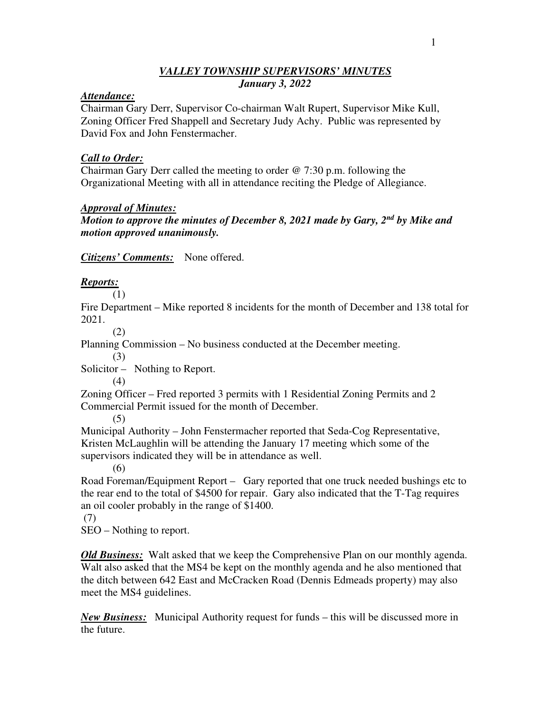## *VALLEY TOWNSHIP SUPERVISORS' MINUTES January 3, 2022*

#### *Attendance:*

Chairman Gary Derr, Supervisor Co-chairman Walt Rupert, Supervisor Mike Kull, Zoning Officer Fred Shappell and Secretary Judy Achy. Public was represented by David Fox and John Fenstermacher.

### *Call to Order:*

Chairman Gary Derr called the meeting to order @ 7:30 p.m. following the Organizational Meeting with all in attendance reciting the Pledge of Allegiance.

### *Approval of Minutes:*

*Motion to approve the minutes of December 8, 2021 made by Gary, 2nd by Mike and motion approved unanimously.*

*Citizens' Comments:* None offered.

## *Reports:*

(1)

Fire Department – Mike reported 8 incidents for the month of December and 138 total for 2021.

(2)

Planning Commission – No business conducted at the December meeting.

(3)

Solicitor – Nothing to Report.

(4)

Zoning Officer – Fred reported 3 permits with 1 Residential Zoning Permits and 2 Commercial Permit issued for the month of December.

(5)

Municipal Authority – John Fenstermacher reported that Seda-Cog Representative, Kristen McLaughlin will be attending the January 17 meeting which some of the supervisors indicated they will be in attendance as well.

(6)

Road Foreman/Equipment Report – Gary reported that one truck needed bushings etc to the rear end to the total of \$4500 for repair. Gary also indicated that the T-Tag requires an oil cooler probably in the range of \$1400.

(7)

SEO – Nothing to report.

*Old Business:* Walt asked that we keep the Comprehensive Plan on our monthly agenda. Walt also asked that the MS4 be kept on the monthly agenda and he also mentioned that the ditch between 642 East and McCracken Road (Dennis Edmeads property) may also meet the MS4 guidelines.

*New Business:* Municipal Authority request for funds – this will be discussed more in the future.